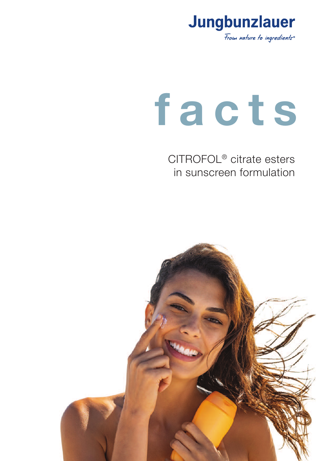

# **f a c t s**

CITROFOL® citrate esters in sunscreen formulation

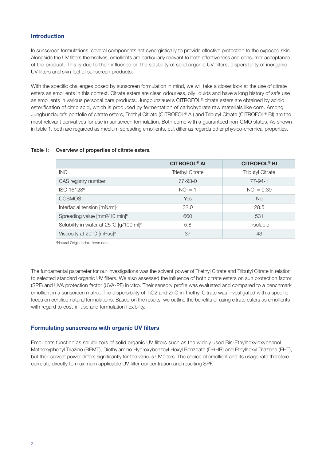## **Introduction**

In sunscreen formulations, several components act synergistically to provide effective protection to the exposed skin. Alongside the UV filters themselves, emollients are particularly relevant to both effectiveness and consumer acceptance of the product. This is due to their influence on the solubility of solid organic UV filters, dispersibility of inorganic UV filters and skin feel of sunscreen products.

With the specific challenges posed by sunscreen formulation in mind, we will take a closer look at the use of citrate esters as emollients in this context. Citrate esters are clear, odourless, oily liquids and have a long history of safe use as emollients in various personal care products. Jungbunzlauer's CITROFOL® citrate esters are obtained by acidic esterification of citric acid, which is produced by fermentation of carbohydrate raw materials like corn. Among Jungbunzlauer's portfolio of citrate esters, Triethyl Citrate (CITROFOL® AI) and Tributyl Citrate (CITROFOL® BI) are the most relevant derivatives for use in sunscreen formulation. Both come with a guaranteed non-GMO status. As shown in table 1, both are regarded as medium spreading emollients, but differ as regards other physico-chemical properties.

### Table 1: Overview of properties of citrate esters.

|                                                        | <b>CITROFOL<sup>®</sup> AI</b> | <b>CITROFOL<sup>®</sup> BI</b> |
|--------------------------------------------------------|--------------------------------|--------------------------------|
| <b>INCI</b>                                            | <b>Triethyl Citrate</b>        | <b>Tributyl Citrate</b>        |
| CAS registry number                                    | 77-93-0                        | $77 - 94 - 1$                  |
| ISO 16128 <sup>a</sup>                                 | $NOI = 1$                      | $NOI = 0.39$                   |
| <b>COSMOS</b>                                          | Yes                            | <b>No</b>                      |
| Interfacial tension [mN/m]b                            | 32.0                           | 28.5                           |
| Spreading value [mm <sup>2</sup> /10 min] <sup>b</sup> | 660                            | 531                            |
| Solubility in water at 25°C [g/100 ml] <sup>b</sup>    | 5.8                            | <i>Insoluble</i>               |
| Viscosity at 20°C [mPas] <sup>b</sup>                  | 37                             | 43                             |

<sup>a</sup>Natural Origin Index; <sup>b</sup>own data

The fundamental parameter for our investigations was the solvent power of Triethyl Citrate and Tributyl Citrate in relation to selected standard organic UV filters. We also assessed the influence of both citrate esters on sun protection factor (SPF) and UVA protection factor (UVA-PF) in vitro. Their sensory profile was evaluated and compared to a benchmark emollient in a sunscreen matrix. The dispersibility of TiO2 and ZnO in Triethyl Citrate was investigated with a specific focus on certified natural formulations. Based on the results, we outline the benefits of using citrate esters as emollients with regard to cost-in-use and formulation flexibility.

### **Formulating sunscreens with organic UV filters**

Emollients function as solubilizers of solid organic UV filters such as the widely used Bis-Ethylhexyloxyphenol Methoxyphenyl Triazine (BEMT), Diethylamino Hydroxybenzoyl Hexyl Benzoate (DHHB) and Ethylhexyl Triazone (EHT), but their solvent power differs significantly for the various UV filters. The choice of emollient and its usage rate therefore correlate directly to maximum applicable UV filter concentration and resulting SPF.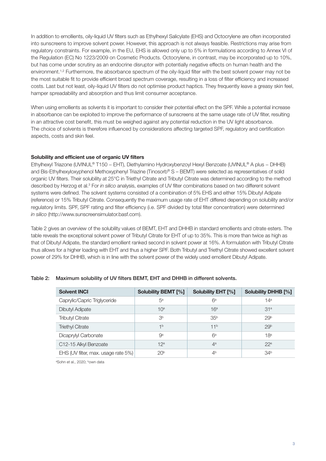In addition to emollients, oily-liquid UV filters such as Ethylhexyl Salicylate (EHS) and Octocrylene are often incorporated into sunscreens to improve solvent power. However, this approach is not always feasible. Restrictions may arise from regulatory constraints. For example, in the EU, EHS is allowed only up to 5% in formulations according to Annex VI of the Regulation (EC) No 1223/2009 on Cosmetic Products. Octocrylene, in contrast, may be incorporated up to 10%, but has come under scrutiny as an endocrine disruptor with potentially negative effects on human health and the environment.<sup>1,2</sup> Furthermore, the absorbance spectrum of the oily-liquid filter with the best solvent power may not be the most suitable fit to provide efficient broad spectrum coverage, resulting in a loss of filter efficiency and increased costs. Last but not least, oily-liquid UV filters do not optimise product haptics. They frequently leave a greasy skin feel, hamper spreadability and absorption and thus limit consumer acceptance.

When using emollients as solvents it is important to consider their potential effect on the SPF. While a potential increase in absorbance can be exploited to improve the performance of sunscreens at the same usage rate of UV filter, resulting in an attractive cost benefit, this must be weighed against any potential reduction in the UV light absorbance. The choice of solvents is therefore influenced by considerations affecting targeted SPF, regulatory and certification aspects, costs and skin feel.

## **Solubility and efficient use of organic UV filters**

Ethylhexyl Triazone (UVINUL® T150 − EHT), Diethylamino Hydroxybenzoyl Hexyl Benzoate (UVINUL® A plus − DHHB) and Bis-Ethylhexyloxyphenol Methoxyphenyl Triazine (Tinosorb® S – BEMT) were selected as representatives of solid organic UV filters. Their solubility at 25°C in Triethyl Citrate and Tributyl Citrate was determined according to the method described by Herzog et al. <sup>3</sup> For *in silico* analysis, examples of UV filter combinations based on two different solvent systems were defined. The solvent systems consisted of a combination of 5% EHS and either 15% Dibutyl Adipate (reference) or 15% Tributyl Citrate. Consequently the maximum usage rate of EHT differed depending on solubility and/or regulatory limits. SPF, SPF rating and filter efficiency (i.e. SPF divided by total filter concentration) were determined *in silico* (http://www.sunscreensimulator.basf.com).

Table 2 gives an overview of the solubility values of BEMT, EHT and DHHB in standard emollients and citrate esters. The table reveals the exceptional solvent power of Tributyl Citrate for EHT of up to 35%. This is more than twice as high as that of Dibutyl Adipate, the standard emollient ranked second in solvent power at 16%. A formulation with Tributyl Citrate thus allows for a higher loading with EHT and thus a higher SPF. Both Tributyl and Triethyl Citrate showed excellent solvent power of 29% for DHHB, which is in line with the solvent power of the widely used emollient Dibutyl Adipate.

|  | Table 2: Maximum solubility of UV filters BEMT, EHT and DHHB in different solvents. |  |  |  |  |
|--|-------------------------------------------------------------------------------------|--|--|--|--|
|--|-------------------------------------------------------------------------------------|--|--|--|--|

| <b>Solvent INCI</b>                 | <b>Solubility BEMT [%]</b> | Solubility EHT [%] | <b>Solubility DHHB [%]</b> |
|-------------------------------------|----------------------------|--------------------|----------------------------|
| Caprylic/Capric Triglyceride        | 5 <sup>a</sup>             | $6^a$              | 14 <sup>a</sup>            |
| <b>Dibutyl Adipate</b>              | 10 <sup>a</sup>            | 16 <sup>a</sup>    | 31 <sup>a</sup>            |
| <b>Tributyl Citrate</b>             | 3 <sup>b</sup>             | 35 <sup>b</sup>    | 29 <sup>b</sup>            |
| <b>Triethyl Citrate</b>             | 1 <sub>b</sub>             | 11 <sup>b</sup>    | 29 <sup>b</sup>            |
| Dicaprylyl Carbonate                | 9 <sup>a</sup>             | $6^a$              | 18 <sup>a</sup>            |
| C12-15 Alkyl Benzoate               | 12 <sup>a</sup>            | 4 <sup>a</sup>     | 22a                        |
| EHS (UV filter, max. usage rate 5%) | 20 <sup>b</sup>            | 4 <sup>b</sup>     | 34 <sup>b</sup>            |

<sup>a</sup>Sohn et al., 2020; <sup>b</sup>own data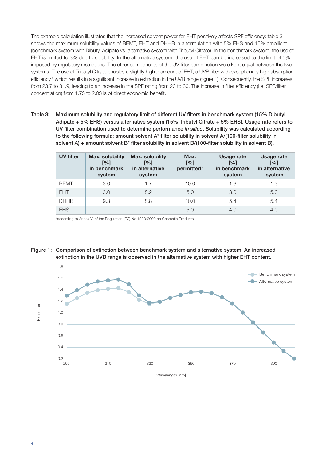The example calculation illustrates that the increased solvent power for EHT positively affects SPF efficiency: table 3 shows the maximum solubility values of BEMT, EHT and DHHB in a formulation with 5% EHS and 15% emollient (benchmark system with Dibutyl Adipate vs. alternative system with Tributyl Citrate). In the benchmark system, the use of EHT is limited to 3% due to solubility. In the alternative system, the use of EHT can be increased to the limit of 5% imposed by regulatory restrictions. The other components of the UV filter combination were kept equal between the two systems. The use of Tributyl Citrate enables a slightly higher amount of EHT, a UVB filter with exceptionally high absorption efficiency, <sup>4</sup> which results in a significant increase in extinction in the UVB range (figure 1). Consequently, the SPF increases from 23.7 to 31.9, leading to an increase in the SPF rating from 20 to 30. The increase in filter efficiency (i.e. SPF/filter concentration) from 1.73 to 2.03 is of direct economic benefit.

Table 3: Maximum solubility and regulatory limit of different UV filters in benchmark system (15% Dibutyl Adipate + 5% EHS) versus alternative system (15% Tributyl Citrate + 5% EHS). Usage rate refers to UV filter combination used to determine performance *in silico*. Solubility was calculated according to the following formula: amount solvent A\* filter solubility in solvent A/(100-filter solubility in solvent A) + amount solvent B<sup>\*</sup> filter solubility in solvent B/(100-filter solubility in solvent B).

| <b>UV filter</b> | <b>Max. solubility</b><br>[%]<br>in benchmark<br>system | <b>Max. solubility</b><br>[%]<br>in alternative<br>system | Max.<br>[%]<br>permitted* | Usage rate<br>[%]<br>in benchmark<br>system | <b>Usage rate</b><br>[%]<br>in alternative<br>system |
|------------------|---------------------------------------------------------|-----------------------------------------------------------|---------------------------|---------------------------------------------|------------------------------------------------------|
| <b>BEMT</b>      | 3.0                                                     | 1.7                                                       | 10.0                      | 1.3                                         | 1.3                                                  |
| <b>EHT</b>       | 3.0                                                     | 8.2                                                       | 5.0                       | 3.0                                         | 5.0                                                  |
| <b>DHHB</b>      | 9.3                                                     | 8.8                                                       | 10.0                      | 5.4                                         | 5.4                                                  |
| <b>EHS</b>       |                                                         |                                                           | 5.0                       | 4.0                                         | 4.0                                                  |

\*according to Annex VI of the Regulation (EC) No 1223/2009 on Cosmetic Products



Figure 1: Comparison of extinction between benchmark system and alternative system. An increased extinction in the UVB range is observed in the alternative system with higher EHT content.

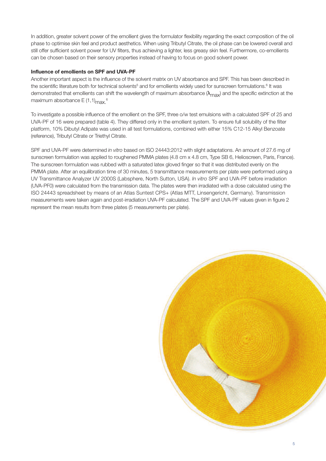In addition, greater solvent power of the emollient gives the formulator flexibility regarding the exact composition of the oil phase to optimise skin feel and product aesthetics. When using Tributyl Citrate, the oil phase can be lowered overall and still offer sufficient solvent power for UV filters, thus achieving a lighter, less greasy skin feel. Furthermore, co-emollients can be chosen based on their sensory properties instead of having to focus on good solvent power.

## **Influence of emollients on SPF and UVA-PF**

Another important aspect is the influence of the solvent matrix on UV absorbance and SPF. This has been described in the scientific literature both for technical solvents<sup>5</sup> and for emollients widely used for sunscreen formulations.<sup>6</sup> It was demonstrated that emollients can shift the wavelength of maximum absorbance ( $\lambda_{\rm max}$ ) and the specific extinction at the maximum absorbance E (1,1) $_{\sf max.}$ <sup>6</sup>

To investigate a possible influence of the emollient on the SPF, three o/w test emulsions with a calculated SPF of 25 and UVA-PF of 16 were prepared (table 4). They differed only in the emollient system. To ensure full solubility of the filter platform, 10% Dibutyl Adipate was used in all test formulations, combined with either 15% C12-15 Alkyl Benzoate (reference), Tributyl Citrate or Triethyl Citrate.

SPF and UVA-PF were determined *in vitro* based on ISO 24443:2012 with slight adaptations. An amount of 27.6 mg of sunscreen formulation was applied to roughened PMMA plates (4.8 cm x 4.8 cm, Type SB 6, Helioscreen, Paris, France). The sunscreen formulation was rubbed with a saturated latex gloved finger so that it was distributed evenly on the PMMA plate. After an equilibration time of 30 minutes, 5 transmittance measurements per plate were performed using a UV Transmittance Analyzer UV 2000S (Labsphere, North Sutton, USA). *In vitro* SPF and UVA-PF before irradiation (UVA-PF0) were calculated from the transmission data. The plates were then irradiated with a dose calculated using the ISO 24443 spreadsheet by means of an Atlas Suntest CPS+ (Atlas MTT, Linsengericht, Germany). Transmission measurements were taken again and post-irradiation UVA-PF calculated. The SPF and UVA-PF values given in figure 2 represent the mean results from three plates (5 measurements per plate).

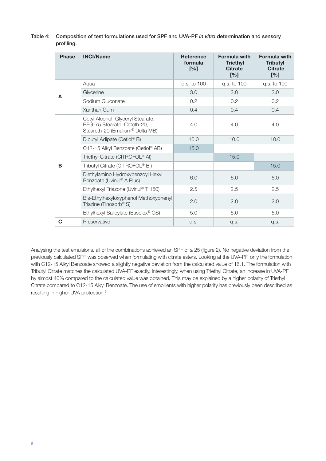| profiling.   |                                                                                                     |                                    |                                                                 |                                                                 |
|--------------|-----------------------------------------------------------------------------------------------------|------------------------------------|-----------------------------------------------------------------|-----------------------------------------------------------------|
| <b>Phase</b> | <b>INCI/Name</b>                                                                                    | <b>Reference</b><br>formula<br>[%] | <b>Formula with</b><br><b>Triethyl</b><br><b>Citrate</b><br>[%] | <b>Formula with</b><br><b>Tributyl</b><br><b>Citrate</b><br>[%] |
|              | Aqua                                                                                                | q.s. to 100                        | q.s. to 100                                                     | q.s. to 100                                                     |
| A            | Glycerine                                                                                           | 3.0                                | 3.0                                                             | 3.0                                                             |
|              | Sodium Gluconate                                                                                    | 0.2                                | 0.2                                                             | 0.2                                                             |
|              | Xanthan Gum                                                                                         | 0.4                                | 0.4                                                             | 0.4                                                             |
|              | Cetyl Alcohol, Glyceryl Stearate,<br>PEG-75 Stearate, Ceteth-20,<br>Steareth-20 (Emulium® Delta MB) | 4.0                                | 4.0                                                             | 4.0                                                             |
|              | Dibutyl Adipate (Cetiol® B)                                                                         | 10.0                               | 10.0                                                            | 10.0                                                            |
|              | C12-15 Alkyl Benzoate (Cetiol® AB)                                                                  | 15.0                               |                                                                 |                                                                 |
|              | Triethyl Citrate (CITROFOL <sup>®</sup> Al)                                                         |                                    | 15.0                                                            |                                                                 |
| B            | Tributyl Citrate (CITROFOL <sup>®</sup> BI)                                                         |                                    |                                                                 | 15.0                                                            |
|              | Diethylamino Hydroxybenzoyl Hexyl<br>Benzoate (Uvinul <sup>®</sup> A Plus)                          | 6.0                                | 6.0                                                             | 6.0                                                             |
|              | Ethylhexyl Triazone (Uvinul® T 150)                                                                 | 2.5                                | 2.5                                                             | 2.5                                                             |
|              | Bis-Ethylhexyloxyphenol Methoxyphenyl<br>Triazine (Tinosorb <sup>®</sup> S)                         | 2.0                                | 2.0                                                             | 2.0                                                             |
|              | Ethylhexyl Salicylate (Eusolex <sup>®</sup> OS)                                                     | 5.0                                | 5.0                                                             | 5.0                                                             |

Table 4: Composition of test formulations used for SPF and UVA-PF *in vitro* determination and sensory profiling.

Analysing the test emulsions, all of the combinations achieved an SPF of ≥ 25 (figure 2). No negative deviation from the previously calculated SPF was observed when formulating with citrate esters. Looking at the UVA-PF, only the formulation with C12-15 Alkyl Benzoate showed a slightly negative deviation from the calculated value of 16.1. The formulation with Tributyl Citrate matches the calculated UVA-PF exactly. Interestingly, when using Triethyl Citrate, an increase in UVA-PF by almost 40% compared to the calculated value was obtained. This may be explained by a higher polarity of Triethyl Citrate compared to C12-15 Alkyl Benzoate. The use of emollients with higher polarity has previously been described as resulting in higher UVA protection. 6

**C** Preservative q.s. q.s. q.s.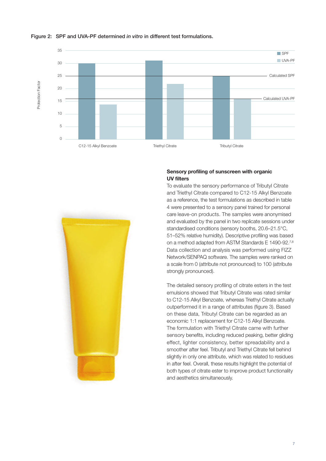

### Figure 2: SPF and UVA-PF determined *in vitro* in different test formulations.



# **Sensory profiling of sunscreen with organic UV filters**

To evaluate the sensory performance of Tributyl Citrate and Triethyl Citrate compared to C12-15 Alkyl Benzoate as a reference, the test formulations as described in table 4 were presented to a sensory panel trained for personal care leave-on products. The samples were anonymised and evaluated by the panel in two replicate sessions under standardised conditions (sensory booths, 20.6–21.5°C, 51–52% relative humidity). Descriptive profiling was based on a method adapted from ASTM Standards E 1490-92.<sup>7,8</sup> Data collection and analysis was performed using FIZZ Network/SENPAQ software. The samples were ranked on a scale from 0 (attribute not pronounced) to 100 (attribute strongly pronounced).

The detailed sensory profiling of citrate esters in the test emulsions showed that Tributyl Citrate was rated similar to C12-15 Alkyl Benzoate, whereas Triethyl Citrate actually outperformed it in a range of attributes (figure 3). Based on these data, Tributyl Citrate can be regarded as an economic 1:1 replacement for C12-15 Alkyl Benzoate. The formulation with Triethyl Citrate came with further sensory benefits, including reduced peaking, better gliding effect, lighter consistency, better spreadability and a smoother after feel. Tributyl and Triethyl Citrate fell behind slightly in only one attribute, which was related to residues in after feel. Overall, these results highlight the potential of both types of citrate ester to improve product functionality and aesthetics simultaneously.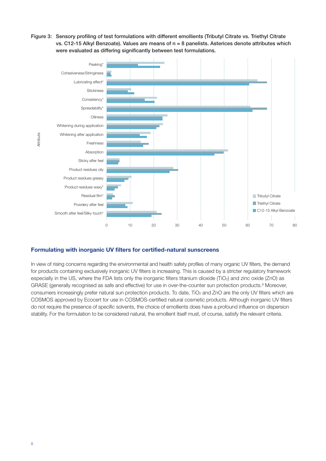Figure 3: Sensory profiling of test formulations with different emollients (Tributyl Citrate vs. Triethyl Citrate vs. C12-15 Alkyl Benzoate). Values are means of n = 8 panelists. Asterices denote attributes which were evaluated as differing significantly between test formulations.



# **Formulating with inorganic UV filters for certified-natural sunscreens**

In view of rising concerns regarding the environmental and health safety profiles of many organic UV filters, the demand for products containing exclusively inorganic UV filters is increasing. This is caused by a stricter regulatory framework especially in the US, where the FDA lists only the inorganic filters titanium dioxide (TiO<sub>2</sub>) and zinc oxide (ZnO) as GRASE (generally recognised as safe and effective) for use in over-the-counter sun protection products. <sup>9</sup> Moreover, consumers increasingly prefer natural sun protection products. To date, TiO<sub>2</sub> and ZnO are the only UV filters which are COSMOS approved by Ecocert for use in COSMOS-certified natural cosmetic products. Although inorganic UV filters do not require the presence of specific solvents, the choice of emollients does have a profound influence on dispersion stability. For the formulation to be considered natural, the emollient itself must, of course, satisfy the relevant criteria.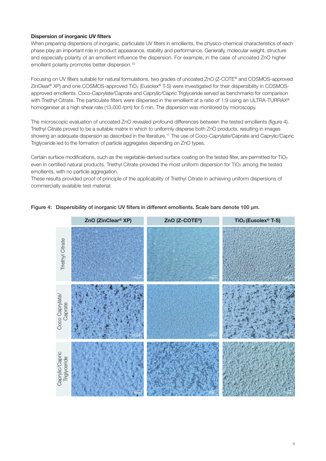## **Dispersion of inorganic UV filters**

When preparing dispersions of inorganic, particulate UV filters in emollients, the physico-chemical characteristics of each phase play an important role in product appearance, stability and performance. Generally, molecular weight, structure and especially polarity of an emollient influence the dispersion. For example, in the case of uncoated ZnO higher emollient polarity promotes better dispersion. 10

Focusing on UV filters suitable for natural formulations, two grades of uncoated ZnO (Z-COTE® and COSMOS-approved ZinClear ® XP) and one COSMOS-approved TiO2 (Eusolex® T-S) were investigated for their dispersibility in COSMOSapproved emollients. Coco-Caprylate/Caprate and Caprylic/Capric Triglyceride served as benchmarks for comparison with Triethyl Citrate. The particulate filters were dispersed in the emollient at a ratio of 1:9 using an ULTRA-TURRAX® homogeniser at a high shear rate (13,000 rpm) for 5 min. The dispersion was monitored by microscopy.

The microscopic evaluation of uncoated ZnO revealed profound differences between the tested emollients (figure 4). Triethyl Citrate proved to be a suitable matrix in which to uniformly disperse both ZnO products, resulting in images showing an adequate dispersion as described in the literature. <sup>11</sup> The use of Coco-Caprylate/Caprate and Caprylic/Capric Triglyceride led to the formation of particle aggregates depending on ZnO types.

Certain surface modifications, such as the vegetable-derived surface coating on the tested filter, are permitted for TiO2 even in certified natural products. Triethyl Citrate provided the most uniform dispersion for TiO<sub>2</sub> among the tested emollients, with no particle aggregation.

These results provided proof of principle of the applicability of Triethyl Citrate in achieving uniform dispersions of commercially available test material.



## Figure 4: Dispersibility of inorganic UV filters in different emollients. Scale bars denote 100 µm.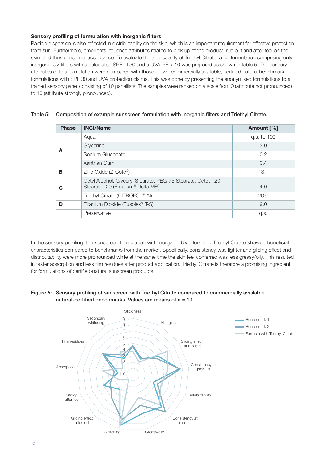## **Sensory profiling of formulation with inorganic filters**

Particle dispersion is also reflected in distributability on the skin, which is an important requirement for effective protection from sun. Furthermore, emollients influence attributes related to pick up of the product, rub out and after feel on the skin, and thus consumer acceptance. To evaluate the applicability of Triethyl Citrate, a full formulation comprising only inorganic UV filters with a calculated SPF of 30 and a UVA-PF > 10 was prepared as shown in table 5. The sensory attributes of this formulation were compared with those of two commercially available, certified natural benchmark formulations with SPF 30 and UVA protection claims. This was done by presenting the anonymised formulations to a trained sensory panel consisting of 10 panellists. The samples were ranked on a scale from 0 (attribute not pronounced) to 10 (attribute strongly pronounced).

| <b>Phase</b> | <b>INCI/Name</b>                                                                                  | Amount [%]  |
|--------------|---------------------------------------------------------------------------------------------------|-------------|
|              | Agua                                                                                              | g.s. to 100 |
| A            | Glycerine                                                                                         | 3.0         |
|              | Sodium Gluconate                                                                                  | 0.2         |
|              | Xanthan Gum                                                                                       | 0.4         |
| в            | Zinc Oxide $(Z$ -Cote <sup>®</sup> )                                                              | 13.1        |
| ဂ            | Cetyl Alcohol, Glyceryl Stearate, PEG-75 Stearate, Ceteth-20,<br>Steareth -20 (Emulium® Delta MB) | 4.0         |
|              | Triethyl Citrate (CITROFOL <sup>®</sup> AI)                                                       | 20.0        |
| D            | Titanium Dioxide (Eusolex <sup>®</sup> T-S)                                                       | 9.0         |
|              | Preservative                                                                                      | q.s.        |

|  |  | Table 5: Composition of example sunscreen formulation with inorganic filters and Triethyl Citrate. |
|--|--|----------------------------------------------------------------------------------------------------|
|  |  |                                                                                                    |

In the sensory profiling, the sunscreen formulation with inorganic UV filters and Triethyl Citrate showed beneficial characteristics compared to benchmarks from the market. Specifically, consistency was lighter and gliding effect and distributability were more pronounced while at the same time the skin feel conferred was less greasy/oily. This resulted in faster absorption and less film residues after product application. Triethyl Citrate is therefore a promising ingredient for formulations of certified-natural sunscreen products.

# Figure 5: Sensory profiling of sunscreen with Triethyl Citrate compared to commercially available natural-certified benchmarks. Values are means of  $n = 10$ .

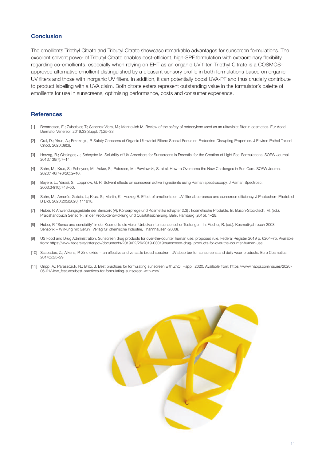### **Conclusion**

The emollients Triethyl Citrate and Tributyl Citrate showcase remarkable advantages for sunscreen formulations. The excellent solvent power of Tributyl Citrate enables cost-efficient, high-SPF formulation with extraordinary flexibility regarding co-emollients, especially when relying on EHT as an organic UV filter. Triethyl Citrate is a COSMOSapproved alternative emollient distinguished by a pleasant sensory profile in both formulations based on organic UV filters and those with inorganic UV filters. In addition, it can potentially boost UVA-PF and thus crucially contribute to product labelling with a UVA claim. Both citrate esters represent outstanding value in the formulator's palette of emollients for use in sunscreens, optimising performance, costs and consumer experience.

### **References**

- [1] Berardesca, E.; Zuberbier, T.; Sanchez Viera, M.; Marinovich M. Review of the safety of octocrylene used as an ultraviolet filter in cosmetics. Eur Acad Dermatol Venereol. 2019;33(Suppl. 7):25–33.
- [2] Oral, D.; Yirun, A.; Erkekoglu, P. Safety Concerns of Organic Ultraviolet Filters: Special Focus on Endocrine-Disrupting Properties. J Environ Pathol Toxicol Oncol. 2020;39(3).
- [3] Herzog, B.; Giesinger, J.; Schnyder M. Solubility of UV Absorbers for Sunscreens is Essential for the Creation of Light Feel Formulations. SOFW Journal. 2013;139(7):7–14.
- [4] Sohn, M.; Krus, S.; Schnyder, M.; Acker, S.; Petersen, M.; Pawlowski, S. et al. How to Overcome the New Challenges in Sun Care. SOFW Journal. 2020;146(7+8/20):2–10.
- [5] Beyere, L.; Yarasi, S.; Loppnow, G. R. Solvent effects on sunscreen active ingredients using Raman spectroscopy. J Raman Spectrosc. 2003;34(10):743–50.
- [6] Sohn, M.; Amorós-Galicia, L.; Krus, S.; Martin, K.; Herzog B. Effect of emollients on UV filter absorbance and sunscreen efficiency. J Photochem Photobiol B Biol. 2020;205(2020):111818.
- [7] Huber, P. Anwendungsgebiete der Sensorik (V); Körperpflege und Kosmetika (chapter 2.3) : kosmetische Produkte. In: Busch-Stockfisch, M. (ed.). Praxishandbuch Sensorik : in der Produktentwicklung und Qualitätssicherung. Behr, Hamburg (2015), 1–28.
- [8] Huber, P. "Sense and sensibility" in der Kosmetik: die vielen Unbekannten sensorischer Testungen. In: Fischer, R. (ed.). Kosmetikjahrbuch 2008: Sensorik − Wirkung mit Gefühl. Verlag für chemische Industrie, Thannhausen (2008).
- [9] US Food and Drug Administration. Sunscreen drug products for over-the-counter human use: proposed rule. Federal Register 2019 p. 6204–75. Available from: https://www.federalregister.gov/documents/2019/02/26/2019-03019/sunscreen-drug- products-for-over-the-counter-human-use
- [10] Szabados, Z.; Aikens, P. Zinc oxide − an effective and versatile broad spectrum UV absorber for sunscreens and daily wear products. Euro Cosmetics. 2014;5:25–29
- [11] Gripp, A.; Paraszczuk, N.; Brito, J. Best practices for formulating sunscreen with ZnO. Happi. 2020. Available from: https://www.happi.com/issues/2020- 06-01/view\_features/best-practices-for-formulating-sunscreen-with-zno/